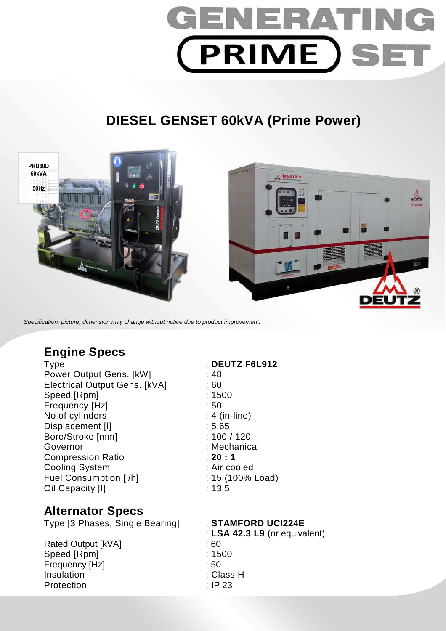

# **DIESEL GENSET 60kVA (Prime Power)**



Specification, picture, dimension may change without notice due to product improvement.

## **Engine Specs**

Type : **DEUTZ F6L912**  Power Output Gens. [kW] : 48 Electrical Output Gens. [kVA] : 60 Speed [Rpm] : 1500 Frequency [Hz]  $\qquad \qquad$  : 50 No of cylinders : 4 (in-line) Displacement [I] 3.65 Bore/Stroke [mm] : 100 / 120 Governor : Mechanical : Mechanical Compression Ratio : **20 : 1**  Cooling System : Air cooled Fuel Consumption [I/h] : 15 (100% Load) Oil Capacity [I] **Example 20** : 13.5

## **Alternator Specs**

Type [3 Phases, Single Bearing] : **STAMFORD UCI224E** 

Rated Output [kVA] : 60 Speed [Rpm] : 1500 Frequency [Hz] : 50 Insulation : Class H Protection : IP 23

: **LSA 42.3 L9** (or equivalent)